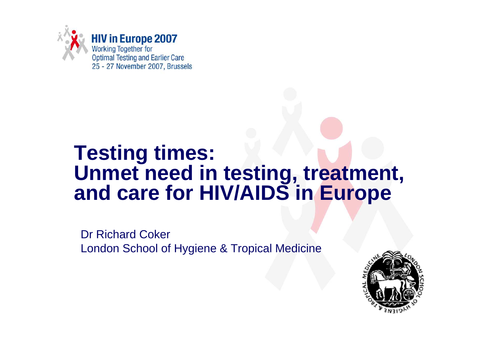

# **Testing times: Unmet need in testing, treatment, and care for HIV/AIDS in Europe**

Dr Richard CokerLondon School of Hygiene & Tropical Medicine

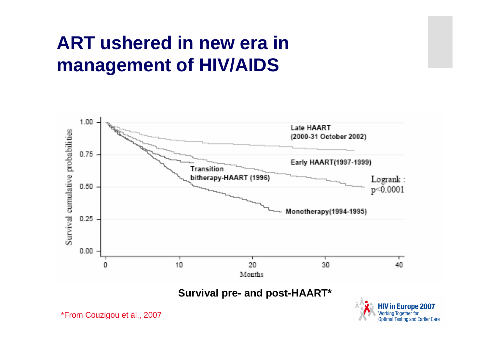## **ART ushered in new era in management of HIV/AIDS**



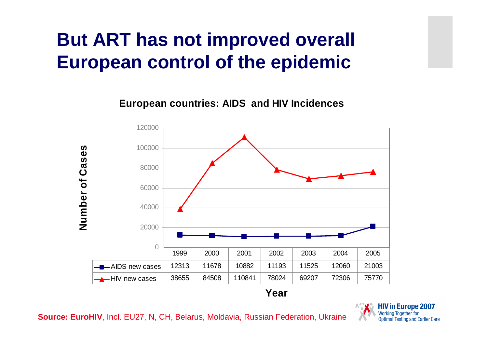# **But ART has not improved overall European control of the epidemic**

**European countries: AIDS and HIV Incidences**



**Year**

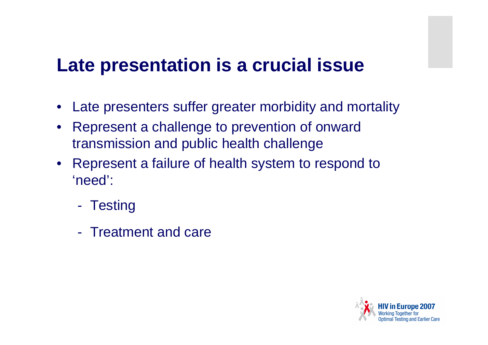#### **Late presentation is a crucial issue**

- Late presenters suffer greater morbidity and mortality
- Represent a challenge to prevention of onward transmission and public health challenge
- Represent a failure of health system to respond to'need':
	- -**Testing**
	- -Treatment and care

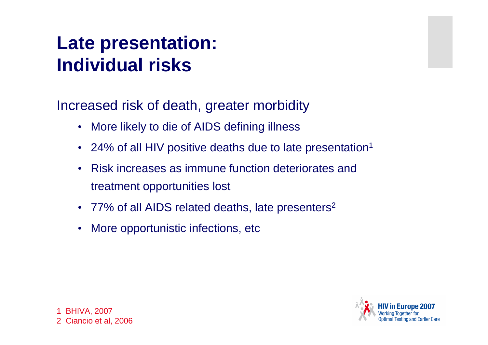# **Late presentation:Individual risks**

Increased risk of death, greater morbidity

- •More likely to die of AIDS defining illness
- •• 24% of all HIV positive deaths due to late presentation<sup>1</sup>
- • Risk increases as immune function deteriorates and treatment opportunities lost
- 77% of all AIDS related deaths, late presenters<sup>2</sup>
- •More opportunistic infections, etc

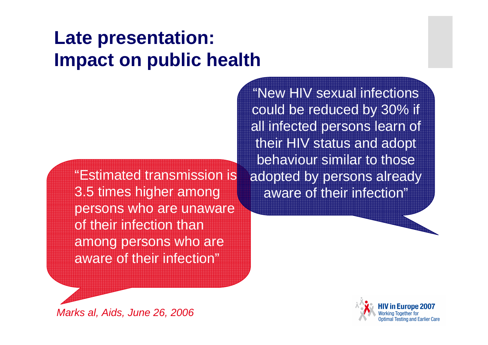## **Late presentation:Impact on public health**

"Estimated transmission is 3.5 times higher among persons who are unaware of their infection than among persons who are aware of their infection"

"New HIV sexual infections could be reduced by 30% if all infected persons learn of their HIV status and adopt behaviour similar to those adopted by persons already aware of their infection"



Marks al, Aids, June 26, 2006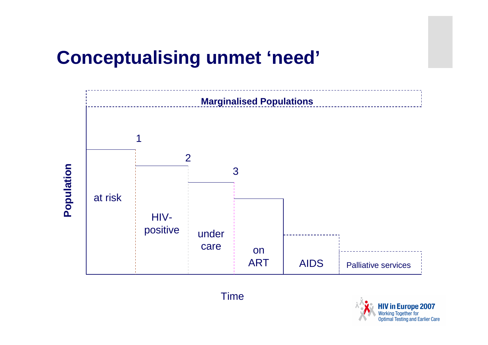#### **Conceptualising unmet 'need'**



Time

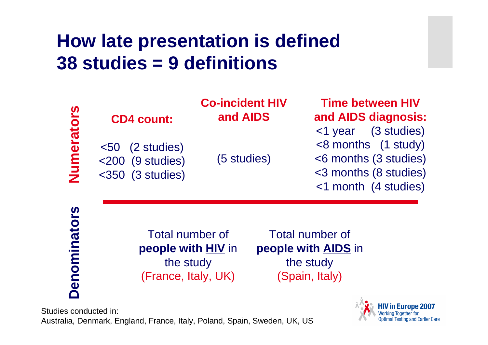## **How late presentation is defined38 studies = 9 definitions**

|              | <b>CD4 count:</b>                                                         | <b>Co-incident HIV</b><br>and AIDS | <b>Time between HIV</b><br>and AIDS diagnosis:                                                                          |  |
|--------------|---------------------------------------------------------------------------|------------------------------------|-------------------------------------------------------------------------------------------------------------------------|--|
| Numerators   | $< 50$ (2 studies)<br>$<$ 200 (9 studies)<br>$<$ 350 (3 studies)          | (5 studies)                        | <1 year (3 studies)<br>$<$ 8 months (1 study)<br><6 months (3 studies)<br><3 months (8 studies)<br><1 month (4 studies) |  |
| Denominators | Total number of<br>people with HIV in<br>the study<br>(France, Italy, UK) |                                    | <b>Total number of</b><br>people with <b>AIDS</b> in<br>the study<br>(Spain, Italy)                                     |  |

Studies conducted in: Australia, Denmark, England, France, Italy, Poland, Spain, Sweden, UK, US

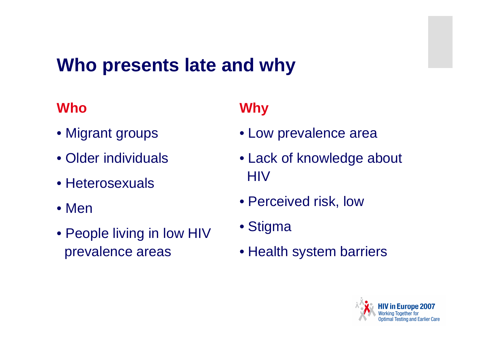## **Who presents late and why**

#### **Who**

- Migrant groups
- Older individuals
- Heterosexuals
- Men
- People living in low HIVprevalence areas

#### **Why**

- Low prevalence area
- Lack of knowledge about **HIV**
- Perceived risk, low
- Stigma
- Health system barriers

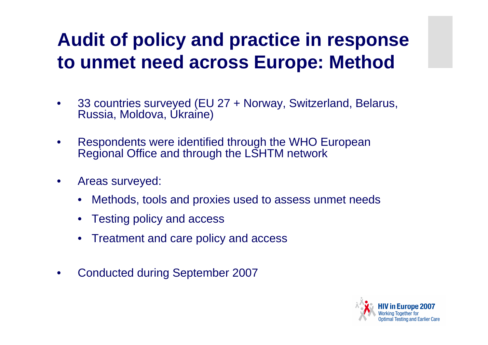# **Audit of policy and practice in response to unmet need across Europe: Method**

- • 33 countries surveyed (EU 27 + Norway, Switzerland, Belarus, Russia, Moldova, Ukraine)
- $\bullet$  Respondents were identified through the WHO European Regional Office and through the LSHTM network
- • Areas surveyed:
	- •Methods, tools and proxies used to assess unmet needs
	- •Testing policy and access
	- •Treatment and care policy and access
- •Conducted during September 2007

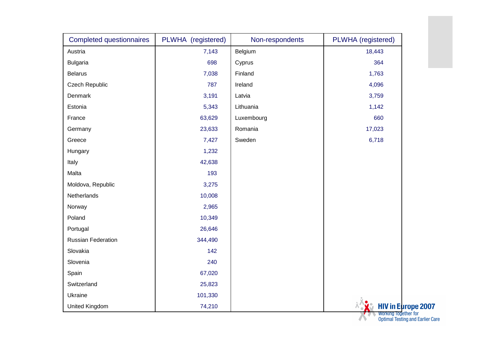| Completed questionnaires | PLWHA (registered) | Non-respondents | PLWHA (registered) |
|--------------------------|--------------------|-----------------|--------------------|
| Austria                  | 7,143              | Belgium         | 18,443             |
| <b>Bulgaria</b>          | 698                | Cyprus          | 364                |
| <b>Belarus</b>           | 7,038              | Finland         | 1,763              |
| Czech Republic           | 787                | Ireland         | 4,096              |
| Denmark                  | 3,191              | Latvia          | 3,759              |
| Estonia                  | 5,343              | Lithuania       | 1,142              |
| France                   | 63,629             | Luxembourg      | 660                |
| Germany                  | 23,633             | Romania         | 17,023             |
| Greece                   | 7,427              | Sweden          | 6,718              |
| Hungary                  | 1,232              |                 |                    |
| Italy                    | 42,638             |                 |                    |
| Malta                    | 193                |                 |                    |
| Moldova, Republic        | 3,275              |                 |                    |
| Netherlands              | 10,008             |                 |                    |
| Norway                   | 2,965              |                 |                    |
| Poland                   | 10,349             |                 |                    |
| Portugal                 | 26,646             |                 |                    |
| Russian Federation       | 344,490            |                 |                    |
| Slovakia                 | 142                |                 |                    |
| Slovenia                 | 240                |                 |                    |
| Spain                    | 67,020             |                 |                    |
| Switzerland              | 25,823             |                 |                    |
| Ukraine                  | 101,330            |                 |                    |
| United Kingdom           | 74,210             |                 | <b>HIV</b> in Euro |

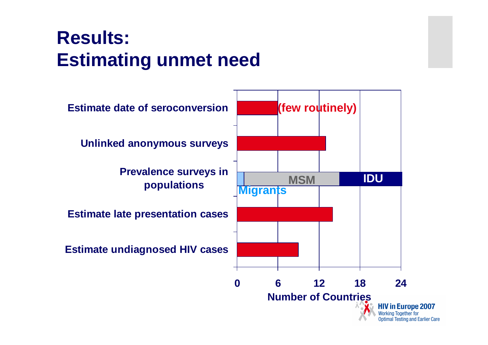# **Results: Estimating unmet need**

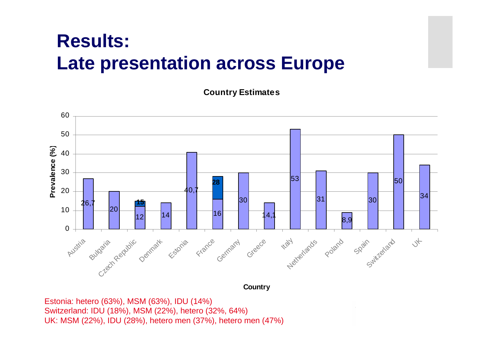### **Results: Late presentation across Europe**

**Country Estimates**



**Country**

Estonia: hetero (63%), MSM (63%), IDU (14%) Switzerland: IDU (18%), MSM (22%), hetero (32%, 64%)UK: MSM (22%), IDU (28%), hetero men (37%), hetero men (47%)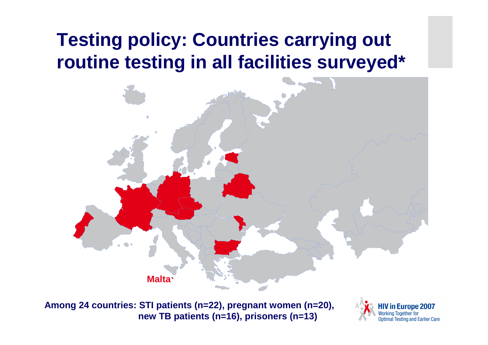## **Testing policy: Countries carrying out routine testing in all facilities surveyed\***



**Among 24 countries: STI patients (n=22), pregnant women (n=20),new TB patients (n=16), prisoners (n=13)**

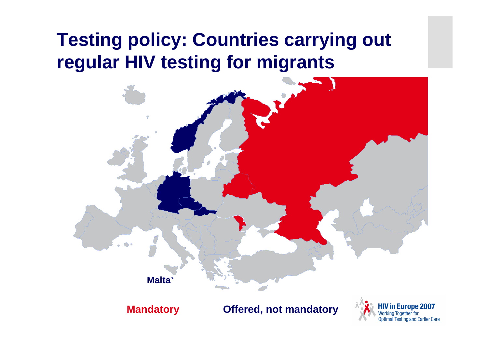## **Testing policy: Countries carrying out regular HIV testing for migrants**

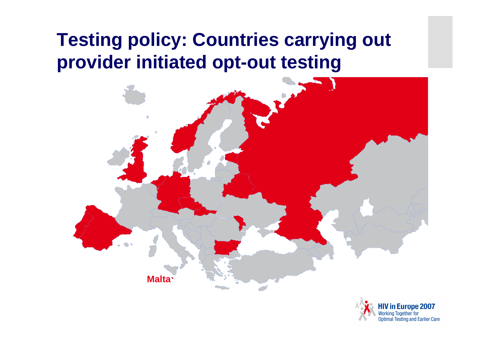## **Testing policy: Countries carrying out provider initiated opt-out testing**

![](_page_15_Figure_1.jpeg)

![](_page_15_Picture_2.jpeg)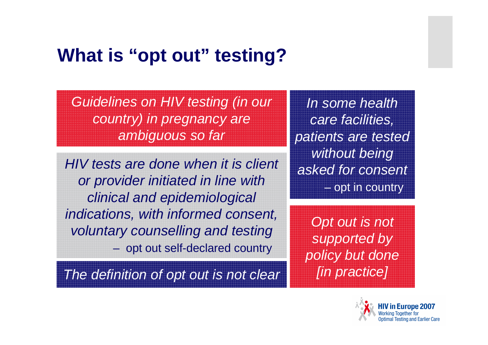#### **What is "opt out" testing?**

Guidelines on HIV testing (in our country) in pregnancy are ambiguous so far

HIV tests are done when it is client or provider initiated in line with clinical and epidemiological indications, with informed consent, voluntary counselling and testingopt out self-declared country

The definition of opt out is not clear

In some health care facilities, patients are tested without being asked for consentopt in country

Opt out is not supported by policy but done [in practice]

![](_page_16_Picture_6.jpeg)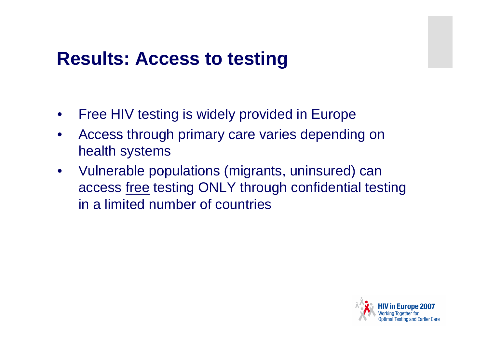#### **Results: Access to testing**

- •Free HIV testing is widely provided in Europe
- • Access through primary care varies depending on health systems
- $\bullet$  Vulnerable populations (migrants, uninsured) can access free testing ONLY through confidential testing in a limited number of countries

![](_page_17_Picture_4.jpeg)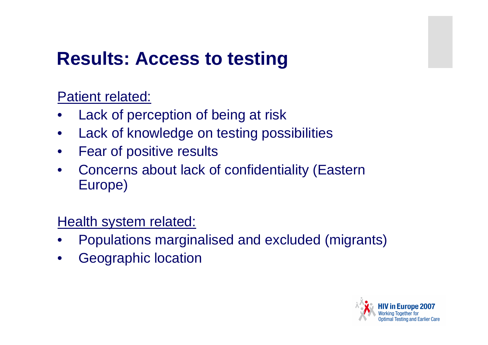#### **Results: Access to testing**

Patient related:

- •Lack of perception of being at risk
- •Lack of knowledge on testing possibilities
- •Fear of positive results
- • Concerns about lack of confidentiality (Eastern Europe)

Health system related:

- •Populations marginalised and excluded (migrants)
- •Geographic location

![](_page_18_Picture_9.jpeg)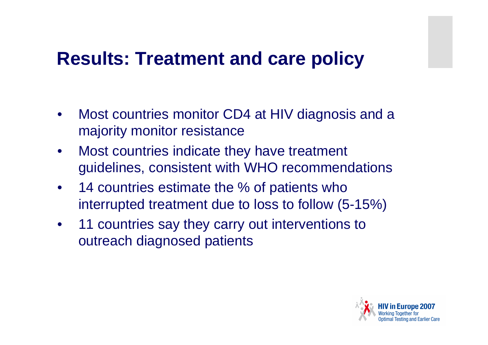#### **Results: Treatment and care policy**

- • Most countries monitor CD4 at HIV diagnosis and a majority monitor resistance
- $\bullet$  Most countries indicate they have treatment guidelines, consistent with WHO recommendations
- $\bullet$ 14 countries estimate the % of patients who interrupted treatment due to loss to follow (5-15%)
- $\bullet$  11 countries say they carry out interventions to outreach diagnosed patients

![](_page_19_Picture_5.jpeg)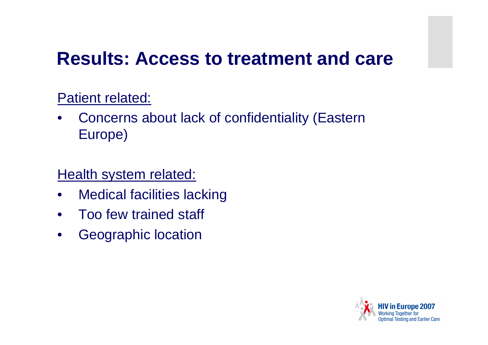#### **Results: Access to treatment and care**

#### Patient related:

• Concerns about lack of confidentiality (Eastern Europe)

#### Health system related:

- •Medical facilities lacking
- $\bullet$ Too few trained staff
- $\bullet$ Geographic location

![](_page_20_Picture_7.jpeg)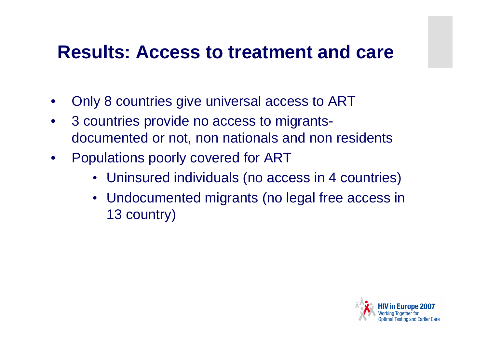#### **Results: Access to treatment and care**

- •Only 8 countries give universal access to ART
- $\bullet$  3 countries provide no access to migrantsdocumented or not, non nationals and non residents
- $\bullet$  Populations poorly covered for ART
	- Uninsured individuals (no access in 4 countries)
	- Undocumented migrants (no legal free access in 13 country)

![](_page_21_Picture_6.jpeg)